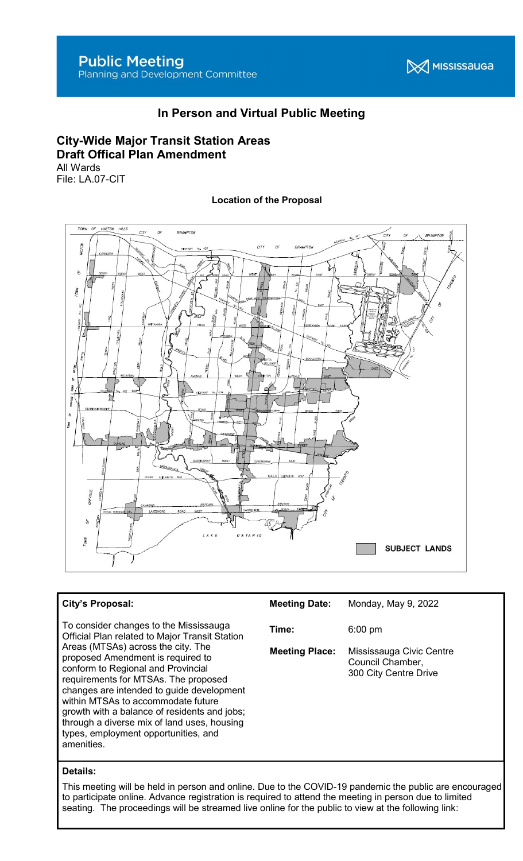# **Public Meeting** Planning and Development Committee

**X** MISSISSAUGA

# In Person and Virtual Public Meeting

# City-Wide Major Transit Station Areas Draft Offical Plan Amendment All Wards

File: LA.07-CIT

Location of the Proposal



## City's Proposal:

To consider changes to the Mississauga Official Plan related to Major Transit Station Areas (MTSAs) across the city. The proposed Amendment is required to conform to Regional and Provincial requirements for MTSAs. The proposed changes are intended to guide development within MTSAs to accommodate future growth with a balance of residents and jobs; through a diverse mix of land uses, housing types, employment opportunities, and amenities.

| <b>Meeting Date:</b>  | Monday, May 9, 2022                                                   |
|-----------------------|-----------------------------------------------------------------------|
| Time:                 | $6:00 \text{ pm}$                                                     |
| <b>Meeting Place:</b> | Mississauga Civic Centre<br>Council Chamber,<br>300 City Centre Drive |

### Details:

This meeting will be held in person and online. Due to the COVID-19 pandemic the public are encouraged to participate online. Advance registration is required to attend the meeting in person due to limited seating. The proceedings will be streamed live online for the public to view at the following link: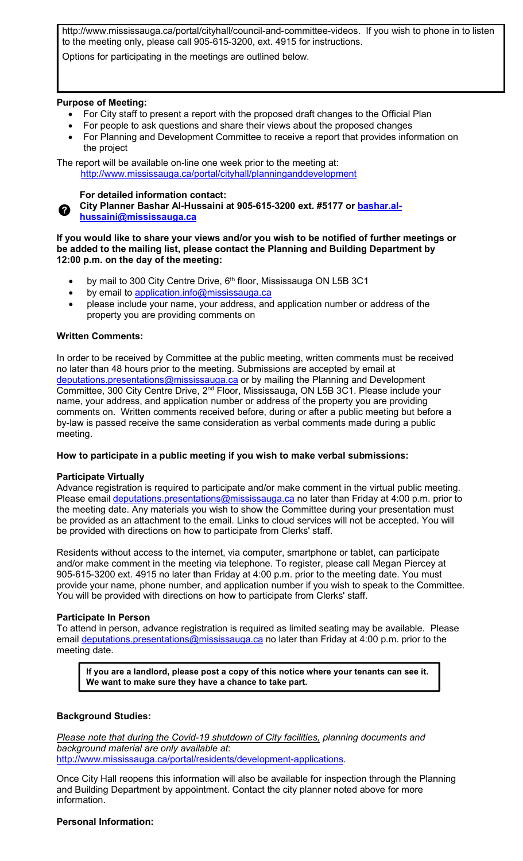http://www.mississauga.ca/portal/cityhall/council-and-committee-videos. If you wish to phone in to listen to the meeting only, please call 905-615-3200, ext. 4915 for instructions.

Options for participating in the meetings are outlined below.

#### Purpose of Meeting:

- For City staff to present a report with the proposed draft changes to the Official Plan
- For people to ask questions and share their views about the proposed changes
- For Planning and Development Committee to receive a report that provides information on the project

The report will be available on-line one week prior to the meeting at: http://www.mississauga.ca/portal/cityhall/planninganddevelopment



For detailed information contact:

City Planner Bashar Al-Hussaini at 905-615-3200 ext. #5177 or bashar.alhussaini@mississauga.ca

#### If you would like to share your views and/or you wish to be notified of further meetings or be added to the mailing list, please contact the Planning and Building Department by 12:00 p.m. on the day of the meeting:

- by mail to 300 City Centre Drive, 6<sup>th</sup> floor, Mississauga ON L5B 3C1
- by email to application.info@mississauga.ca
- please include your name, your address, and application number or address of the property you are providing comments on

### Written Comments:

In order to be received by Committee at the public meeting, written comments must be received no later than 48 hours prior to the meeting. Submissions are accepted by email at deputations.presentations@mississauga.ca</u> or by mailing the Planning and Development Committee, 300 City Centre Drive, 2<sup>nd</sup> Floor, Mississauga, ON L5B 3C1. Please include your name, your address, and application number or address of the property you are providing comments on. Written comments received before, during or after a public meeting but before a by-law is passed receive the same consideration as verbal comments made during a public meeting.

#### How to participate in a public meeting if you wish to make verbal submissions:

### Participate Virtually

Advance registration is required to participate and/or make comment in the virtual public meeting. Please email deputations.presentations@mississauga.ca no later than Friday at 4:00 p.m. prior to the meeting date. Any materials you wish to show the Committee during your presentation must be provided as an attachment to the email. Links to cloud services will not be accepted. You will be provided with directions on how to participate from Clerks' staff.

Residents without access to the internet, via computer, smartphone or tablet, can participate and/or make comment in the meeting via telephone. To register, please call Megan Piercey at 905-615-3200 ext. 4915 no later than Friday at 4:00 p.m. prior to the meeting date. You must provide your name, phone number, and application number if you wish to speak to the Committee. You will be provided with directions on how to participate from Clerks' staff.

### Participate In Person

To attend in person, advance registration is required as limited seating may be available. Please email deputations.presentations@mississauga.ca no later than Friday at 4:00 p.m. prior to the meeting date.

If you are a landlord, please post a copy of this notice where your tenants can see it. We want to make sure they have a chance to take part.

### Background Studies:

Please note that during the Covid-19 shutdown of City facilities, planning documents and background material are only available at: http://www.mississauga.ca/portal/residents/development-applications.

Once City Hall reopens this information will also be available for inspection through the Planning and Building Department by appointment. Contact the city planner noted above for more information.

### Personal Information: